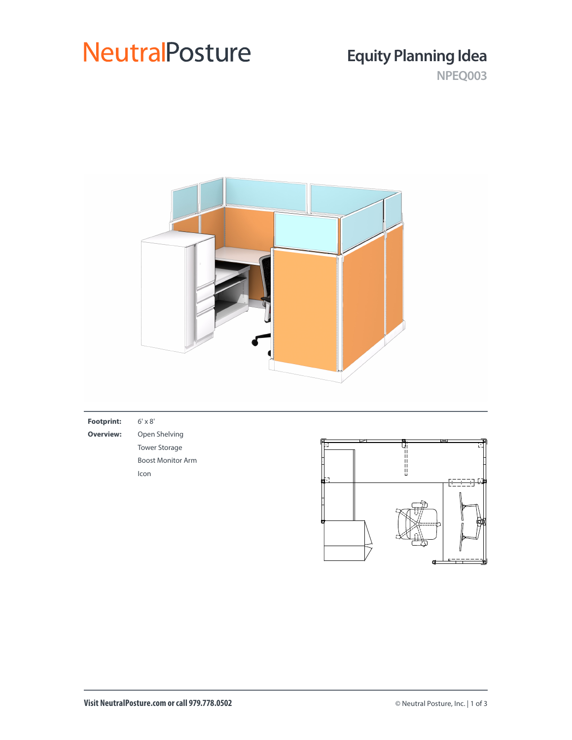## **NeutralPosture**

### **Equity Planning Idea**

**NPEQ003**



| $6' \times 8'$           |  |                     |
|--------------------------|--|---------------------|
| Open Shelving            |  | ᆓ                   |
| <b>Tower Storage</b>     |  |                     |
| <b>Boost Monitor Arm</b> |  |                     |
| Icon                     |  |                     |
|                          |  | <del>[2323]</del> 4 |
|                          |  |                     |
|                          |  |                     |
|                          |  | ⇁<br>ц              |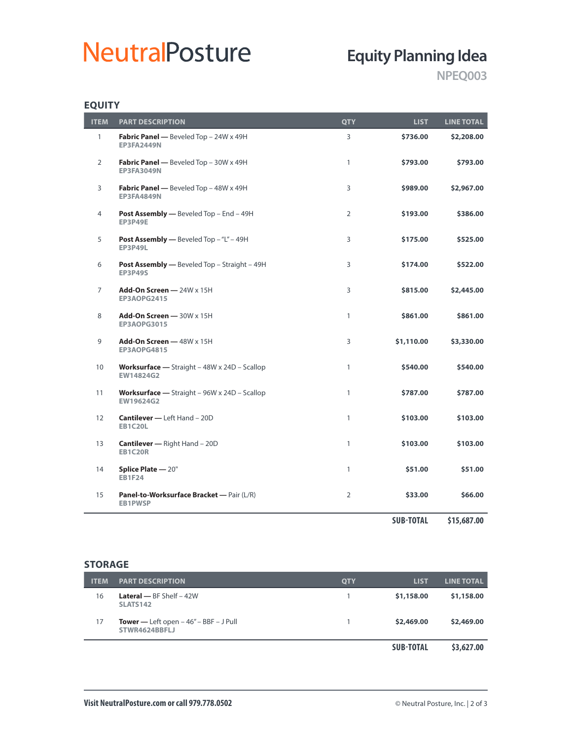# **NeutralPosture**

### **Equity Planning Idea**

**NPEQ003**

### **EQUITY**

| <b>ITEM</b>    | <b>PART DESCRIPTION</b>                                                   | <b>QTY</b>     | <b>LIST</b>      | <b>LINE TOTAL</b> |
|----------------|---------------------------------------------------------------------------|----------------|------------------|-------------------|
| $\mathbf{1}$   | Fabric Panel - Beveled Top - 24W x 49H<br><b>EP3FA2449N</b>               | 3              | \$736.00         | \$2,208.00        |
| $\overline{2}$ | Fabric Panel - Beveled Top - 30W x 49H<br><b>EP3FA3049N</b>               | $\mathbf{1}$   | \$793.00         | \$793.00          |
| 3              | Fabric Panel - Beveled Top - 48W x 49H<br><b>EP3FA4849N</b>               | 3              | \$989.00         | \$2,967.00        |
| 4              | Post Assembly - Beveled Top - End - 49H<br><b>EP3P49E</b>                 | $\overline{2}$ | \$193.00         | \$386.00          |
| 5              | Post Assembly - Beveled Top - "L" - 49H<br><b>EP3P49L</b>                 | 3              | \$175.00         | \$525.00          |
| 6              | <b>Post Assembly —</b> Beveled Top – Straight – 49H<br><b>EP3P49S</b>     | 3              | \$174.00         | \$522.00          |
| 7              | Add-On Screen $-$ 24W $\times$ 15H<br>EP3AOPG2415                         | 3              | \$815.00         | \$2,445.00        |
| 8              | Add-On Screen - 30W x 15H<br><b>EP3AOPG3015</b>                           | $\mathbf{1}$   | \$861.00         | \$861.00          |
| 9              | Add-On Screen $-48W \times 15H$<br><b>EP3AOPG4815</b>                     | 3              | \$1,110.00       | \$3,330.00        |
| 10             | <b>Worksurface</b> - Straight $-$ 48W $\times$ 24D - Scallop<br>EW14824G2 | $\mathbf{1}$   | \$540.00         | \$540.00          |
| 11             | Worksurface - Straight - 96W x 24D - Scallop<br>EW19624G2                 | $\mathbf{1}$   | \$787.00         | \$787.00          |
| 12             | <b>Cantilever - Left Hand - 20D</b><br><b>EB1C20L</b>                     | $\mathbf{1}$   | \$103.00         | \$103.00          |
| 13             | <b>Cantilever</b> - Right Hand - 20D<br><b>EB1C20R</b>                    | $\mathbf{1}$   | \$103.00         | \$103.00          |
| 14             | Splice Plate - 20"<br><b>EB1F24</b>                                       | $\mathbf{1}$   | \$51.00          | \$51.00           |
| 15             | Panel-to-Worksurface Bracket - Pair (L/R)<br><b>EB1PWSP</b>               | $\overline{2}$ | \$33.00          | \$66.00           |
|                |                                                                           |                | <b>SUB-TOTAL</b> | \$15,687.00       |

#### **STORAGE**

| <b>ITEM</b> | <b>PART DESCRIPTION</b>                                   | <b>QTY</b> | <b>LIST</b>      | <b>LINE TOTAL</b> |
|-------------|-----------------------------------------------------------|------------|------------------|-------------------|
| 16          | <b>Lateral</b> $-$ BF Shelf $-$ 42W<br><b>SLATS142</b>    |            | \$1,158.00       | \$1,158.00        |
| 17          | Tower — Left open $-46'' - BBF - J$ Pull<br>STWR4624BBFLJ |            | \$2,469.00       | \$2,469.00        |
|             |                                                           |            | <b>SUB-TOTAL</b> | \$3,627.00        |